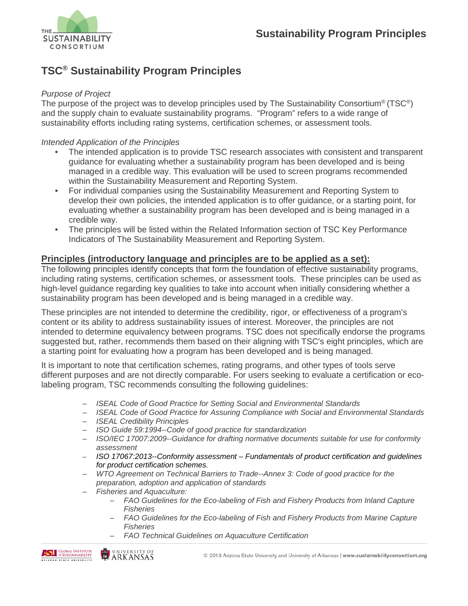

## **TSC® Sustainability Program Principles**

## *Purpose of Project*

The purpose of the project was to develop principles used by The Sustainability Consortium® (TSC®) and the supply chain to evaluate sustainability programs. "Program" refers to a wide range of sustainability efforts including rating systems, certification schemes, or assessment tools.

## *Intended Application of the Principles*

- The intended application is to provide TSC research associates with consistent and transparent guidance for evaluating whether a sustainability program has been developed and is being managed in a credible way. This evaluation will be used to screen programs recommended within the Sustainability Measurement and Reporting System.
- For individual companies using the Sustainability Measurement and Reporting System to develop their own policies, the intended application is to offer guidance, or a starting point, for evaluating whether a sustainability program has been developed and is being managed in a credible way.
- The principles will be listed within the Related Information section of TSC Key Performance Indicators of The Sustainability Measurement and Reporting System.

## **Principles (introductory language and principles are to be applied as a set):**

The following principles identify concepts that form the foundation of effective sustainability programs, including rating systems, certification schemes, or assessment tools. These principles can be used as high-level guidance regarding key qualities to take into account when initially considering whether a sustainability program has been developed and is being managed in a credible way.

These principles are not intended to determine the credibility, rigor, or effectiveness of a program's content or its ability to address sustainability issues of interest. Moreover, the principles are not intended to determine equivalency between programs. TSC does not specifically endorse the programs suggested but, rather, recommends them based on their aligning with TSC's eight principles, which are a starting point for evaluating how a program has been developed and is being managed.

It is important to note that certification schemes, rating programs, and other types of tools serve different purposes and are not directly comparable. For users seeking to evaluate a certification or ecolabeling program, TSC recommends consulting the following guidelines:

- *ISEAL Code of Good Practice for Setting Social and Environmental Standards*
- *ISEAL Code of Good Practice for Assuring Compliance with Social and Environmental Standards*
- *ISEAL Credibility Principles*
- *ISO Guide 59:1994--Code of good practice for standardization*
- *ISO/IEC 17007:2009--Guidance for drafting normative documents suitable for use for conformity assessment*
- *ISO 17067:2013--Conformity assessment – Fundamentals of product certification and guidelines for product certification schemes.*
- *WTO Agreement on Technical Barriers to Trade--Annex 3: Code of good practice for the preparation, adoption and application of standards*
- *Fisheries and Aquaculture:*
	- *FAO Guidelines for the Eco-labeling of Fish and Fishery Products from Inland Capture Fisheries*
	- *FAO Guidelines for the Eco-labeling of Fish and Fishery Products from Marine Capture Fisheries*
	- *FAO Technical Guidelines on Aquaculture Certification*